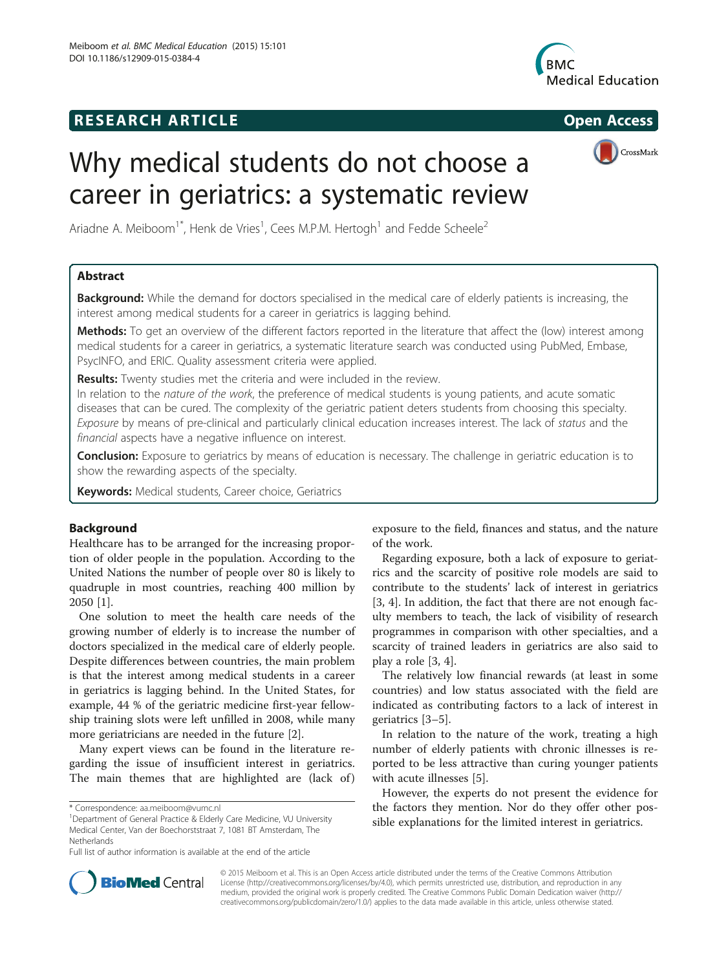## **RESEARCH ARTICLE Example 2014 CONSIDERING CONSIDERING CONSIDERING CONSIDERING CONSIDERING CONSIDERING CONSIDERING CONSIDERING CONSIDERING CONSIDERING CONSIDERING CONSIDERING CONSIDERING CONSIDERING CONSIDERING CONSIDE**





# Why medical students do not choose a career in geriatrics: a systematic review

Ariadne A. Meiboom<sup>1\*</sup>, Henk de Vries<sup>1</sup>, Cees M.P.M. Hertogh<sup>1</sup> and Fedde Scheele<sup>2</sup>

## Abstract

**Background:** While the demand for doctors specialised in the medical care of elderly patients is increasing, the interest among medical students for a career in geriatrics is lagging behind.

Methods: To get an overview of the different factors reported in the literature that affect the (low) interest among medical students for a career in geriatrics, a systematic literature search was conducted using PubMed, Embase, PsycINFO, and ERIC. Quality assessment criteria were applied.

Results: Twenty studies met the criteria and were included in the review.

In relation to the *nature of the work*, the preference of medical students is young patients, and acute somatic diseases that can be cured. The complexity of the geriatric patient deters students from choosing this specialty. Exposure by means of pre-clinical and particularly clinical education increases interest. The lack of status and the financial aspects have a negative influence on interest.

**Conclusion:** Exposure to geriatrics by means of education is necessary. The challenge in geriatric education is to show the rewarding aspects of the specialty.

Keywords: Medical students, Career choice, Geriatrics

## Background

Healthcare has to be arranged for the increasing proportion of older people in the population. According to the United Nations the number of people over 80 is likely to quadruple in most countries, reaching 400 million by 2050 [\[1](#page-7-0)].

One solution to meet the health care needs of the growing number of elderly is to increase the number of doctors specialized in the medical care of elderly people. Despite differences between countries, the main problem is that the interest among medical students in a career in geriatrics is lagging behind. In the United States, for example, 44 % of the geriatric medicine first-year fellowship training slots were left unfilled in 2008, while many more geriatricians are needed in the future [[2\]](#page-7-0).

Many expert views can be found in the literature regarding the issue of insufficient interest in geriatrics. The main themes that are highlighted are (lack of)

exposure to the field, finances and status, and the nature of the work.

Regarding exposure, both a lack of exposure to geriatrics and the scarcity of positive role models are said to contribute to the students' lack of interest in geriatrics [[3, 4\]](#page-7-0). In addition, the fact that there are not enough faculty members to teach, the lack of visibility of research programmes in comparison with other specialties, and a scarcity of trained leaders in geriatrics are also said to play a role [\[3](#page-7-0), [4](#page-7-0)].

The relatively low financial rewards (at least in some countries) and low status associated with the field are indicated as contributing factors to a lack of interest in geriatrics [\[3](#page-7-0)–[5\]](#page-7-0).

In relation to the nature of the work, treating a high number of elderly patients with chronic illnesses is reported to be less attractive than curing younger patients with acute illnesses [[5](#page-7-0)].

However, the experts do not present the evidence for the factors they mention. Nor do they offer other possible explanations for the limited interest in geriatrics.



© 2015 Meiboom et al. This is an Open Access article distributed under the terms of the Creative Commons Attribution License (<http://creativecommons.org/licenses/by/4.0>), which permits unrestricted use, distribution, and reproduction in any medium, provided the original work is properly credited. The Creative Commons Public Domain Dedication waiver [\(http://](http://creativecommons.org/publicdomain/zero/1.0/) [creativecommons.org/publicdomain/zero/1.0/\)](http://creativecommons.org/publicdomain/zero/1.0/) applies to the data made available in this article, unless otherwise stated.

<sup>\*</sup> Correspondence: [aa.meiboom@vumc.nl](mailto:aa.meiboom@vumc.nl) <sup>1</sup>

<sup>&</sup>lt;sup>1</sup>Department of General Practice & Elderly Care Medicine, VU University Medical Center, Van der Boechorststraat 7, 1081 BT Amsterdam, The Netherlands

Full list of author information is available at the end of the article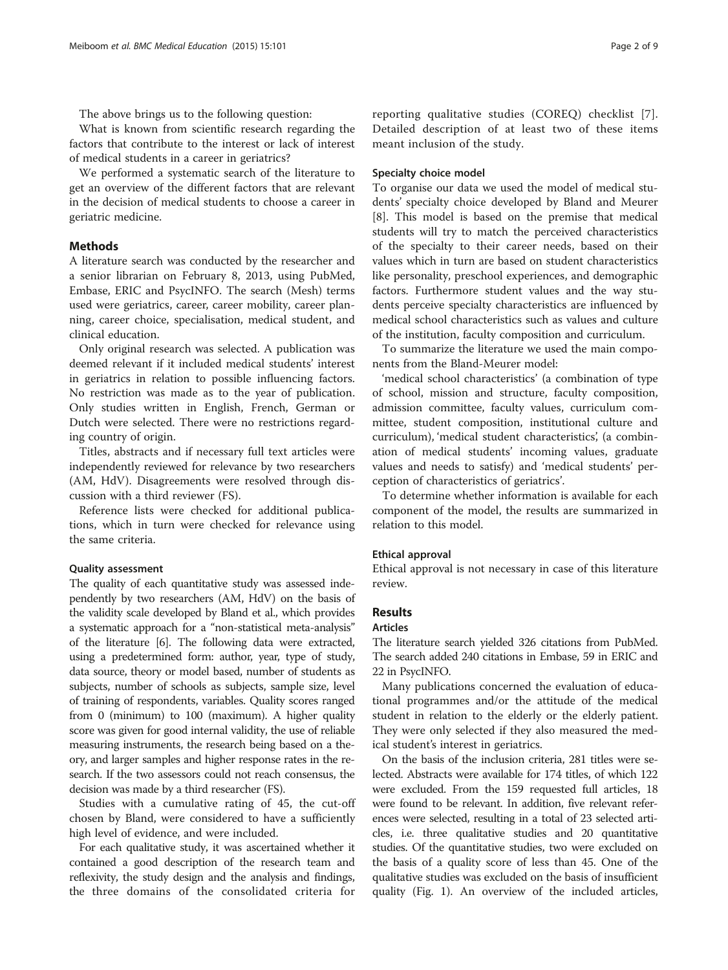The above brings us to the following question:

What is known from scientific research regarding the factors that contribute to the interest or lack of interest of medical students in a career in geriatrics?

We performed a systematic search of the literature to get an overview of the different factors that are relevant in the decision of medical students to choose a career in geriatric medicine.

## **Methods**

A literature search was conducted by the researcher and a senior librarian on February 8, 2013, using PubMed, Embase, ERIC and PsycINFO. The search (Mesh) terms used were geriatrics, career, career mobility, career planning, career choice, specialisation, medical student, and clinical education.

Only original research was selected. A publication was deemed relevant if it included medical students' interest in geriatrics in relation to possible influencing factors. No restriction was made as to the year of publication. Only studies written in English, French, German or Dutch were selected. There were no restrictions regarding country of origin.

Titles, abstracts and if necessary full text articles were independently reviewed for relevance by two researchers (AM, HdV). Disagreements were resolved through discussion with a third reviewer (FS).

Reference lists were checked for additional publications, which in turn were checked for relevance using the same criteria.

## Quality assessment

The quality of each quantitative study was assessed independently by two researchers (AM, HdV) on the basis of the validity scale developed by Bland et al., which provides a systematic approach for a "non-statistical meta-analysis" of the literature [\[6](#page-7-0)]. The following data were extracted, using a predetermined form: author, year, type of study, data source, theory or model based, number of students as subjects, number of schools as subjects, sample size, level of training of respondents, variables. Quality scores ranged from 0 (minimum) to 100 (maximum). A higher quality score was given for good internal validity, the use of reliable measuring instruments, the research being based on a theory, and larger samples and higher response rates in the research. If the two assessors could not reach consensus, the decision was made by a third researcher (FS).

Studies with a cumulative rating of 45, the cut-off chosen by Bland, were considered to have a sufficiently high level of evidence, and were included.

For each qualitative study, it was ascertained whether it contained a good description of the research team and reflexivity, the study design and the analysis and findings, the three domains of the consolidated criteria for reporting qualitative studies (COREQ) checklist [[7](#page-7-0)]. Detailed description of at least two of these items meant inclusion of the study.

#### Specialty choice model

To organise our data we used the model of medical students' specialty choice developed by Bland and Meurer [[8\]](#page-7-0). This model is based on the premise that medical students will try to match the perceived characteristics of the specialty to their career needs, based on their values which in turn are based on student characteristics like personality, preschool experiences, and demographic factors. Furthermore student values and the way students perceive specialty characteristics are influenced by medical school characteristics such as values and culture of the institution, faculty composition and curriculum.

To summarize the literature we used the main components from the Bland-Meurer model:

'medical school characteristics' (a combination of type of school, mission and structure, faculty composition, admission committee, faculty values, curriculum committee, student composition, institutional culture and curriculum), 'medical student characteristics', (a combination of medical students' incoming values, graduate values and needs to satisfy) and 'medical students' perception of characteristics of geriatrics'.

To determine whether information is available for each component of the model, the results are summarized in relation to this model.

### Ethical approval

Ethical approval is not necessary in case of this literature review.

## Results

## Articles

The literature search yielded 326 citations from PubMed. The search added 240 citations in Embase, 59 in ERIC and 22 in PsycINFO.

Many publications concerned the evaluation of educational programmes and/or the attitude of the medical student in relation to the elderly or the elderly patient. They were only selected if they also measured the medical student's interest in geriatrics.

On the basis of the inclusion criteria, 281 titles were selected. Abstracts were available for 174 titles, of which 122 were excluded. From the 159 requested full articles, 18 were found to be relevant. In addition, five relevant references were selected, resulting in a total of 23 selected articles, i.e. three qualitative studies and 20 quantitative studies. Of the quantitative studies, two were excluded on the basis of a quality score of less than 45. One of the qualitative studies was excluded on the basis of insufficient quality (Fig. [1](#page-2-0)). An overview of the included articles,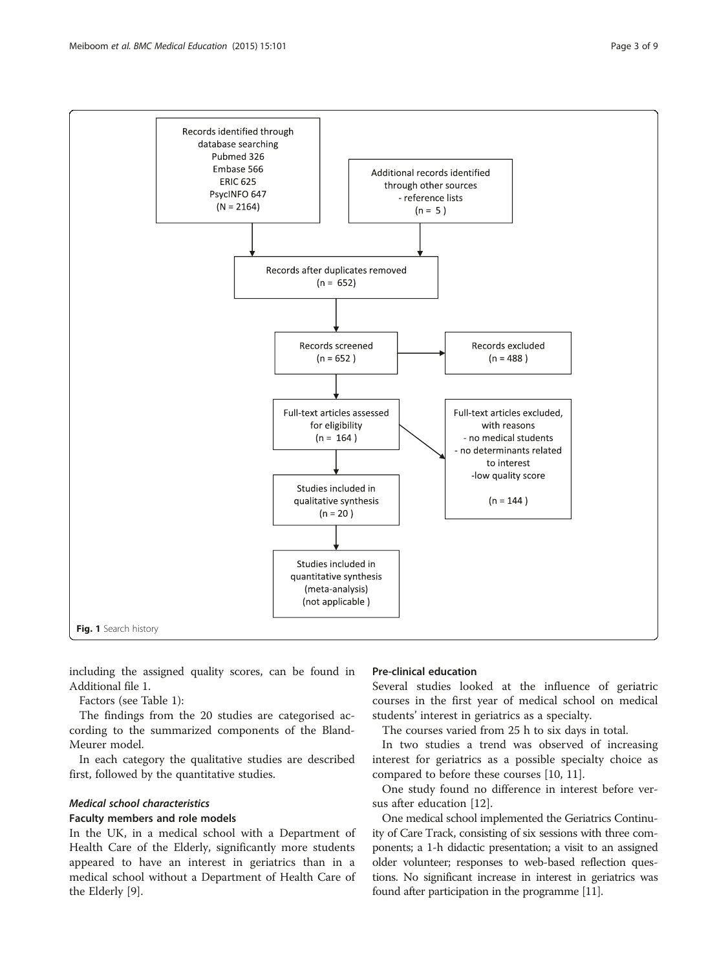<span id="page-2-0"></span>

including the assigned quality scores, can be found in Additional file [1](#page-7-0).

Factors (see Table [1](#page-3-0)):

The findings from the 20 studies are categorised according to the summarized components of the Bland-Meurer model.

In each category the qualitative studies are described first, followed by the quantitative studies.

## Medical school characteristics

## Faculty members and role models

In the UK, in a medical school with a Department of Health Care of the Elderly, significantly more students appeared to have an interest in geriatrics than in a medical school without a Department of Health Care of the Elderly [[9\]](#page-7-0).

#### Pre-clinical education

Several studies looked at the influence of geriatric courses in the first year of medical school on medical students' interest in geriatrics as a specialty.

The courses varied from 25 h to six days in total.

In two studies a trend was observed of increasing interest for geriatrics as a possible specialty choice as compared to before these courses [[10](#page-7-0), [11](#page-7-0)].

One study found no difference in interest before versus after education [\[12\]](#page-7-0).

One medical school implemented the Geriatrics Continuity of Care Track, consisting of six sessions with three components; a 1-h didactic presentation; a visit to an assigned older volunteer; responses to web-based reflection questions. No significant increase in interest in geriatrics was found after participation in the programme [\[11\]](#page-7-0).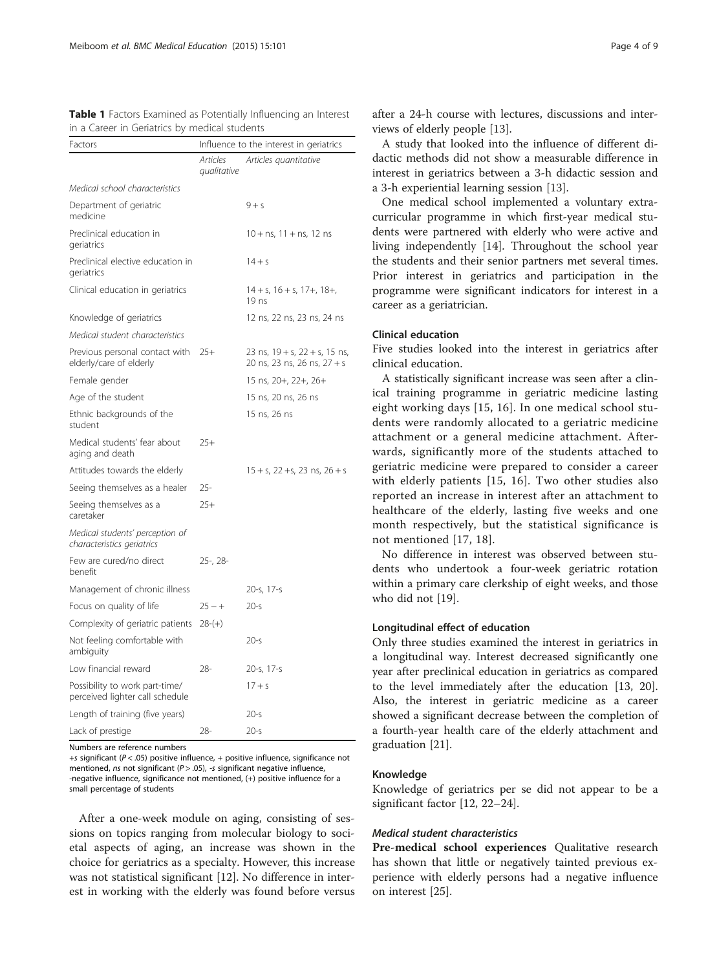| in a Career in Geriatrics by medical students                     |                                         |                                                                    |
|-------------------------------------------------------------------|-----------------------------------------|--------------------------------------------------------------------|
| Factors                                                           | Influence to the interest in geriatrics |                                                                    |
|                                                                   | Articles<br>qualitative                 | Articles quantitative                                              |
| Medical school characteristics                                    |                                         |                                                                    |
| Department of geriatric<br>medicine                               |                                         | $9 + s$                                                            |
| Preclinical education in<br>geriatrics                            |                                         | $10 + ns$ , $11 + ns$ , 12 ns                                      |
| Preclinical elective education in<br>geriatrics                   |                                         | $14 + s$                                                           |
| Clinical education in geriatrics                                  |                                         | $14 + s$ , $16 + s$ , $17 +$ , $18 +$ ,<br>19 ns                   |
| Knowledge of geriatrics                                           |                                         | 12 ns, 22 ns, 23 ns, 24 ns                                         |
| Medical student characteristics                                   |                                         |                                                                    |
| Previous personal contact with<br>elderly/care of elderly         | $25+$                                   | 23 ns, $19 + s$ , $22 + s$ , 15 ns,<br>20 ns, 23 ns, 26 ns, 27 + s |
| Female gender                                                     |                                         | 15 ns, 20+, 22+, 26+                                               |
| Age of the student                                                |                                         | 15 ns, 20 ns, 26 ns                                                |
| Ethnic backgrounds of the<br>student                              |                                         | 15 ns, 26 ns                                                       |
| Medical students' fear about<br>aging and death                   | $25+$                                   |                                                                    |
| Attitudes towards the elderly                                     |                                         | $15 + s$ , 22 +s, 23 ns, 26 + s                                    |
| Seeing themselves as a healer                                     | $25 -$                                  |                                                                    |
| Seeing themselves as a<br>caretaker                               | $25+$                                   |                                                                    |
| Medical students' perception of<br>characteristics geriatrics     |                                         |                                                                    |
| Few are cured/no direct<br>benefit                                | 25-, 28-                                |                                                                    |
| Management of chronic illness                                     |                                         | 20-s, 17-s                                                         |
| Focus on quality of life                                          | $25 - +$                                | $20 - s$                                                           |
| Complexity of geriatric patients                                  | $28-(+)$                                |                                                                    |
| Not feeling comfortable with<br>ambiguity                         |                                         | $20 - s$                                                           |
| Low financial reward                                              | $28 -$                                  | 20-s, 17-s                                                         |
| Possibility to work part-time/<br>perceived lighter call schedule |                                         | $17 + s$                                                           |
| Length of training (five years)                                   |                                         | $20 - s$                                                           |
| Lack of prestige                                                  | $28 -$                                  | $20 - s$                                                           |

<span id="page-3-0"></span>Table 1 Factors Examined as Potentially Influencing an Interest

Numbers are reference numbers

 $+$ s significant ( $P < .05$ ) positive influence,  $+$  positive influence, significance not mentioned, ns not significant ( $P > .05$ ), -s significant negative influence, -negative influence, significance not mentioned, (+) positive influence for a small percentage of students

After a one-week module on aging, consisting of sessions on topics ranging from molecular biology to societal aspects of aging, an increase was shown in the choice for geriatrics as a specialty. However, this increase was not statistical significant [\[12](#page-7-0)]. No difference in interest in working with the elderly was found before versus

after a 24-h course with lectures, discussions and interviews of elderly people [[13\]](#page-7-0).

A study that looked into the influence of different didactic methods did not show a measurable difference in interest in geriatrics between a 3-h didactic session and a 3-h experiential learning session [\[13](#page-7-0)].

One medical school implemented a voluntary extracurricular programme in which first-year medical students were partnered with elderly who were active and living independently [[14\]](#page-7-0). Throughout the school year the students and their senior partners met several times. Prior interest in geriatrics and participation in the programme were significant indicators for interest in a career as a geriatrician.

#### Clinical education

Five studies looked into the interest in geriatrics after clinical education.

A statistically significant increase was seen after a clinical training programme in geriatric medicine lasting eight working days [[15](#page-7-0), [16\]](#page-7-0). In one medical school students were randomly allocated to a geriatric medicine attachment or a general medicine attachment. Afterwards, significantly more of the students attached to geriatric medicine were prepared to consider a career with elderly patients [[15, 16](#page-7-0)]. Two other studies also reported an increase in interest after an attachment to healthcare of the elderly, lasting five weeks and one month respectively, but the statistical significance is not mentioned [[17](#page-7-0), [18](#page-7-0)].

No difference in interest was observed between students who undertook a four-week geriatric rotation within a primary care clerkship of eight weeks, and those who did not [[19](#page-7-0)].

#### Longitudinal effect of education

Only three studies examined the interest in geriatrics in a longitudinal way. Interest decreased significantly one year after preclinical education in geriatrics as compared to the level immediately after the education [\[13, 20](#page-7-0)]. Also, the interest in geriatric medicine as a career showed a significant decrease between the completion of a fourth-year health care of the elderly attachment and graduation [[21\]](#page-7-0).

#### Knowledge

Knowledge of geriatrics per se did not appear to be a significant factor [\[12](#page-7-0), [22](#page-8-0)–[24\]](#page-8-0).

## Medical student characteristics

Pre-medical school experiences Qualitative research has shown that little or negatively tainted previous experience with elderly persons had a negative influence on interest [[25\]](#page-8-0).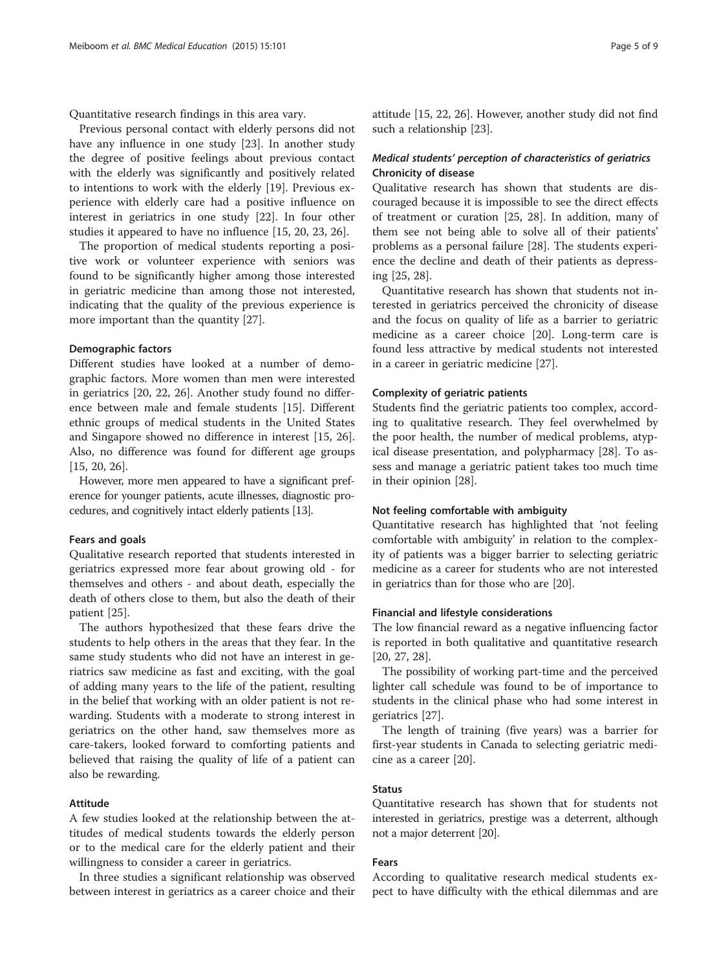Quantitative research findings in this area vary.

Previous personal contact with elderly persons did not have any influence in one study [\[23](#page-8-0)]. In another study the degree of positive feelings about previous contact with the elderly was significantly and positively related to intentions to work with the elderly [[19](#page-7-0)]. Previous experience with elderly care had a positive influence on interest in geriatrics in one study [\[22](#page-8-0)]. In four other studies it appeared to have no influence [[15, 20,](#page-7-0) [23, 26](#page-8-0)].

The proportion of medical students reporting a positive work or volunteer experience with seniors was found to be significantly higher among those interested in geriatric medicine than among those not interested, indicating that the quality of the previous experience is more important than the quantity [[27](#page-8-0)].

#### Demographic factors

Different studies have looked at a number of demographic factors. More women than men were interested in geriatrics [\[20,](#page-7-0) [22](#page-8-0), [26\]](#page-8-0). Another study found no difference between male and female students [\[15](#page-7-0)]. Different ethnic groups of medical students in the United States and Singapore showed no difference in interest [[15,](#page-7-0) [26](#page-8-0)]. Also, no difference was found for different age groups [[15, 20,](#page-7-0) [26](#page-8-0)].

However, more men appeared to have a significant preference for younger patients, acute illnesses, diagnostic procedures, and cognitively intact elderly patients [\[13\]](#page-7-0).

#### Fears and goals

Qualitative research reported that students interested in geriatrics expressed more fear about growing old - for themselves and others - and about death, especially the death of others close to them, but also the death of their patient [\[25\]](#page-8-0).

The authors hypothesized that these fears drive the students to help others in the areas that they fear. In the same study students who did not have an interest in geriatrics saw medicine as fast and exciting, with the goal of adding many years to the life of the patient, resulting in the belief that working with an older patient is not rewarding. Students with a moderate to strong interest in geriatrics on the other hand, saw themselves more as care-takers, looked forward to comforting patients and believed that raising the quality of life of a patient can also be rewarding.

#### Attitude

A few studies looked at the relationship between the attitudes of medical students towards the elderly person or to the medical care for the elderly patient and their willingness to consider a career in geriatrics.

In three studies a significant relationship was observed between interest in geriatrics as a career choice and their attitude [\[15,](#page-7-0) [22, 26\]](#page-8-0). However, another study did not find such a relationship [\[23\]](#page-8-0).

## Medical students' perception of characteristics of geriatrics Chronicity of disease

Qualitative research has shown that students are discouraged because it is impossible to see the direct effects of treatment or curation [[25](#page-8-0), [28\]](#page-8-0). In addition, many of them see not being able to solve all of their patients' problems as a personal failure [[28\]](#page-8-0). The students experience the decline and death of their patients as depressing [\[25](#page-8-0), [28](#page-8-0)].

Quantitative research has shown that students not interested in geriatrics perceived the chronicity of disease and the focus on quality of life as a barrier to geriatric medicine as a career choice [[20](#page-7-0)]. Long-term care is found less attractive by medical students not interested in a career in geriatric medicine [\[27](#page-8-0)].

#### Complexity of geriatric patients

Students find the geriatric patients too complex, according to qualitative research. They feel overwhelmed by the poor health, the number of medical problems, atypical disease presentation, and polypharmacy [[28\]](#page-8-0). To assess and manage a geriatric patient takes too much time in their opinion [\[28\]](#page-8-0).

#### Not feeling comfortable with ambiguity

Quantitative research has highlighted that 'not feeling comfortable with ambiguity' in relation to the complexity of patients was a bigger barrier to selecting geriatric medicine as a career for students who are not interested in geriatrics than for those who are [\[20](#page-7-0)].

#### Financial and lifestyle considerations

The low financial reward as a negative influencing factor is reported in both qualitative and quantitative research [[20,](#page-7-0) [27, 28\]](#page-8-0).

The possibility of working part-time and the perceived lighter call schedule was found to be of importance to students in the clinical phase who had some interest in geriatrics [\[27\]](#page-8-0).

The length of training (five years) was a barrier for first-year students in Canada to selecting geriatric medicine as a career [\[20\]](#page-7-0).

## **Status**

Quantitative research has shown that for students not interested in geriatrics, prestige was a deterrent, although not a major deterrent [\[20\]](#page-7-0).

#### Fears

According to qualitative research medical students expect to have difficulty with the ethical dilemmas and are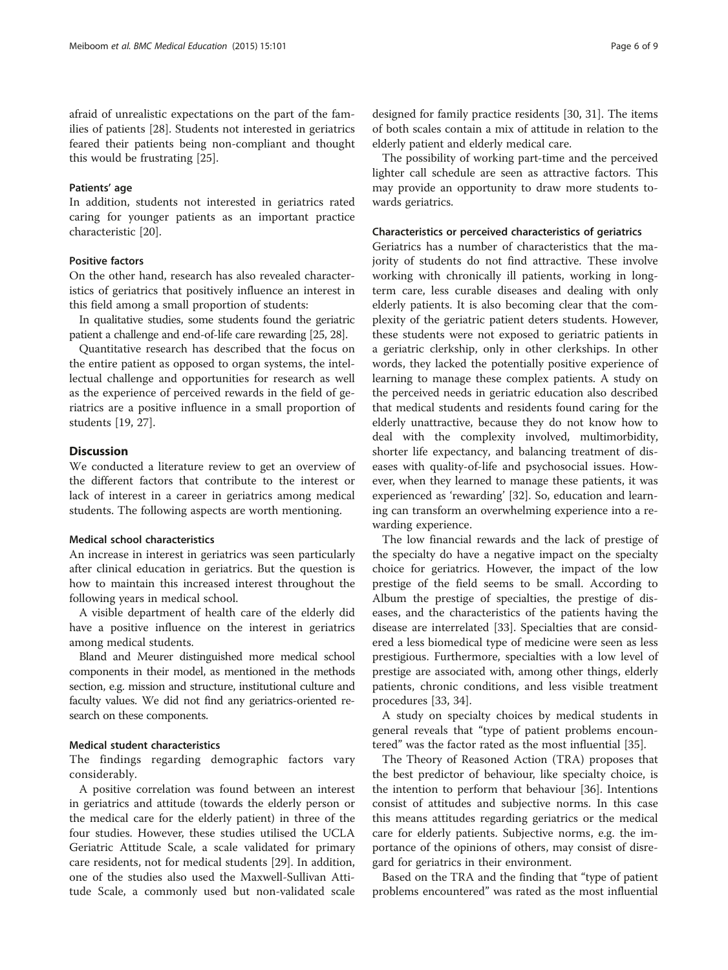afraid of unrealistic expectations on the part of the families of patients [\[28\]](#page-8-0). Students not interested in geriatrics feared their patients being non-compliant and thought this would be frustrating [[25\]](#page-8-0).

#### Patients' age

In addition, students not interested in geriatrics rated caring for younger patients as an important practice characteristic [\[20\]](#page-7-0).

## Positive factors

On the other hand, research has also revealed characteristics of geriatrics that positively influence an interest in this field among a small proportion of students:

In qualitative studies, some students found the geriatric patient a challenge and end-of-life care rewarding [\[25, 28\]](#page-8-0).

Quantitative research has described that the focus on the entire patient as opposed to organ systems, the intellectual challenge and opportunities for research as well as the experience of perceived rewards in the field of geriatrics are a positive influence in a small proportion of students [\[19,](#page-7-0) [27\]](#page-8-0).

## Discussion

We conducted a literature review to get an overview of the different factors that contribute to the interest or lack of interest in a career in geriatrics among medical students. The following aspects are worth mentioning.

## Medical school characteristics

An increase in interest in geriatrics was seen particularly after clinical education in geriatrics. But the question is how to maintain this increased interest throughout the following years in medical school.

A visible department of health care of the elderly did have a positive influence on the interest in geriatrics among medical students.

Bland and Meurer distinguished more medical school components in their model, as mentioned in the methods section, e.g. mission and structure, institutional culture and faculty values. We did not find any geriatrics-oriented research on these components.

#### Medical student characteristics

The findings regarding demographic factors vary considerably.

A positive correlation was found between an interest in geriatrics and attitude (towards the elderly person or the medical care for the elderly patient) in three of the four studies. However, these studies utilised the UCLA Geriatric Attitude Scale, a scale validated for primary care residents, not for medical students [[29\]](#page-8-0). In addition, one of the studies also used the Maxwell-Sullivan Attitude Scale, a commonly used but non-validated scale designed for family practice residents [\[30, 31\]](#page-8-0). The items of both scales contain a mix of attitude in relation to the elderly patient and elderly medical care.

The possibility of working part-time and the perceived lighter call schedule are seen as attractive factors. This may provide an opportunity to draw more students towards geriatrics.

#### Characteristics or perceived characteristics of geriatrics

Geriatrics has a number of characteristics that the majority of students do not find attractive. These involve working with chronically ill patients, working in longterm care, less curable diseases and dealing with only elderly patients. It is also becoming clear that the complexity of the geriatric patient deters students. However, these students were not exposed to geriatric patients in a geriatric clerkship, only in other clerkships. In other words, they lacked the potentially positive experience of learning to manage these complex patients. A study on the perceived needs in geriatric education also described that medical students and residents found caring for the elderly unattractive, because they do not know how to deal with the complexity involved, multimorbidity, shorter life expectancy, and balancing treatment of diseases with quality-of-life and psychosocial issues. However, when they learned to manage these patients, it was experienced as 'rewarding' [[32](#page-8-0)]. So, education and learning can transform an overwhelming experience into a rewarding experience.

The low financial rewards and the lack of prestige of the specialty do have a negative impact on the specialty choice for geriatrics. However, the impact of the low prestige of the field seems to be small. According to Album the prestige of specialties, the prestige of diseases, and the characteristics of the patients having the disease are interrelated [\[33](#page-8-0)]. Specialties that are considered a less biomedical type of medicine were seen as less prestigious. Furthermore, specialties with a low level of prestige are associated with, among other things, elderly patients, chronic conditions, and less visible treatment procedures [\[33, 34\]](#page-8-0).

A study on specialty choices by medical students in general reveals that "type of patient problems encountered" was the factor rated as the most influential [[35\]](#page-8-0).

The Theory of Reasoned Action (TRA) proposes that the best predictor of behaviour, like specialty choice, is the intention to perform that behaviour [[36\]](#page-8-0). Intentions consist of attitudes and subjective norms. In this case this means attitudes regarding geriatrics or the medical care for elderly patients. Subjective norms, e.g. the importance of the opinions of others, may consist of disregard for geriatrics in their environment.

Based on the TRA and the finding that "type of patient problems encountered" was rated as the most influential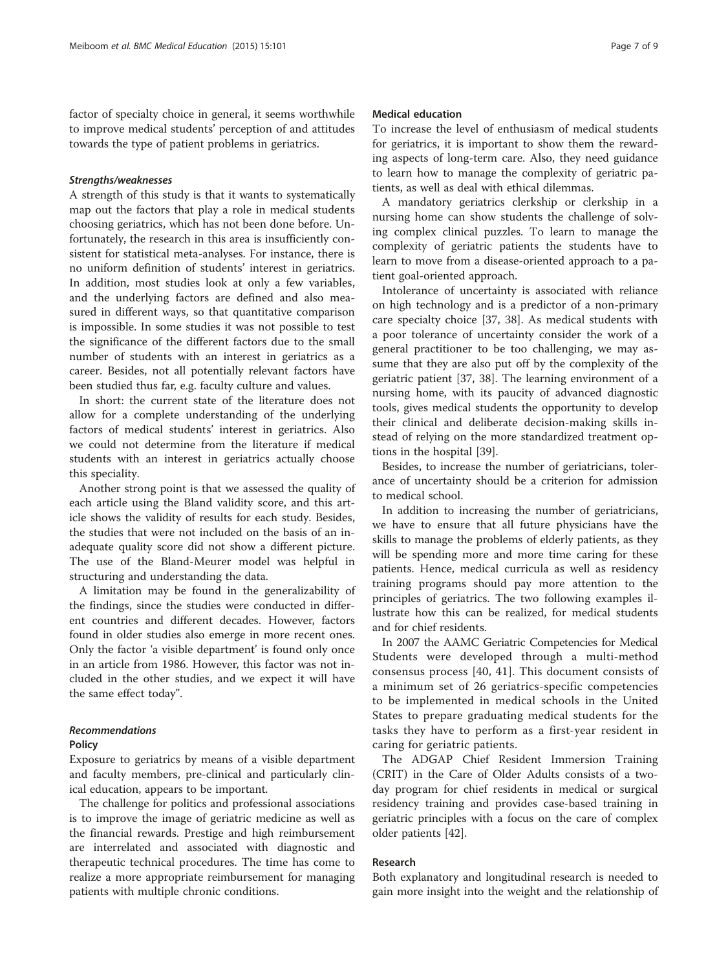factor of specialty choice in general, it seems worthwhile to improve medical students' perception of and attitudes towards the type of patient problems in geriatrics.

#### Strengths/weaknesses

A strength of this study is that it wants to systematically map out the factors that play a role in medical students choosing geriatrics, which has not been done before. Unfortunately, the research in this area is insufficiently consistent for statistical meta-analyses. For instance, there is no uniform definition of students' interest in geriatrics. In addition, most studies look at only a few variables, and the underlying factors are defined and also measured in different ways, so that quantitative comparison is impossible. In some studies it was not possible to test the significance of the different factors due to the small number of students with an interest in geriatrics as a career. Besides, not all potentially relevant factors have been studied thus far, e.g. faculty culture and values.

In short: the current state of the literature does not allow for a complete understanding of the underlying factors of medical students' interest in geriatrics. Also we could not determine from the literature if medical students with an interest in geriatrics actually choose this speciality.

Another strong point is that we assessed the quality of each article using the Bland validity score, and this article shows the validity of results for each study. Besides, the studies that were not included on the basis of an inadequate quality score did not show a different picture. The use of the Bland-Meurer model was helpful in structuring and understanding the data.

A limitation may be found in the generalizability of the findings, since the studies were conducted in different countries and different decades. However, factors found in older studies also emerge in more recent ones. Only the factor 'a visible department' is found only once in an article from 1986. However, this factor was not included in the other studies, and we expect it will have the same effect today".

#### Recommendations

#### Policy

Exposure to geriatrics by means of a visible department and faculty members, pre-clinical and particularly clinical education, appears to be important.

The challenge for politics and professional associations is to improve the image of geriatric medicine as well as the financial rewards. Prestige and high reimbursement are interrelated and associated with diagnostic and therapeutic technical procedures. The time has come to realize a more appropriate reimbursement for managing patients with multiple chronic conditions.

#### Medical education

To increase the level of enthusiasm of medical students for geriatrics, it is important to show them the rewarding aspects of long-term care. Also, they need guidance to learn how to manage the complexity of geriatric patients, as well as deal with ethical dilemmas.

A mandatory geriatrics clerkship or clerkship in a nursing home can show students the challenge of solving complex clinical puzzles. To learn to manage the complexity of geriatric patients the students have to learn to move from a disease-oriented approach to a patient goal-oriented approach.

Intolerance of uncertainty is associated with reliance on high technology and is a predictor of a non-primary care specialty choice [\[37](#page-8-0), [38](#page-8-0)]. As medical students with a poor tolerance of uncertainty consider the work of a general practitioner to be too challenging, we may assume that they are also put off by the complexity of the geriatric patient [[37, 38\]](#page-8-0). The learning environment of a nursing home, with its paucity of advanced diagnostic tools, gives medical students the opportunity to develop their clinical and deliberate decision-making skills instead of relying on the more standardized treatment options in the hospital [[39](#page-8-0)].

Besides, to increase the number of geriatricians, tolerance of uncertainty should be a criterion for admission to medical school.

In addition to increasing the number of geriatricians, we have to ensure that all future physicians have the skills to manage the problems of elderly patients, as they will be spending more and more time caring for these patients. Hence, medical curricula as well as residency training programs should pay more attention to the principles of geriatrics. The two following examples illustrate how this can be realized, for medical students and for chief residents.

In 2007 the AAMC Geriatric Competencies for Medical Students were developed through a multi-method consensus process [[40, 41\]](#page-8-0). This document consists of a minimum set of 26 geriatrics-specific competencies to be implemented in medical schools in the United States to prepare graduating medical students for the tasks they have to perform as a first-year resident in caring for geriatric patients.

The ADGAP Chief Resident Immersion Training (CRIT) in the Care of Older Adults consists of a twoday program for chief residents in medical or surgical residency training and provides case-based training in geriatric principles with a focus on the care of complex older patients [[42\]](#page-8-0).

## Research

Both explanatory and longitudinal research is needed to gain more insight into the weight and the relationship of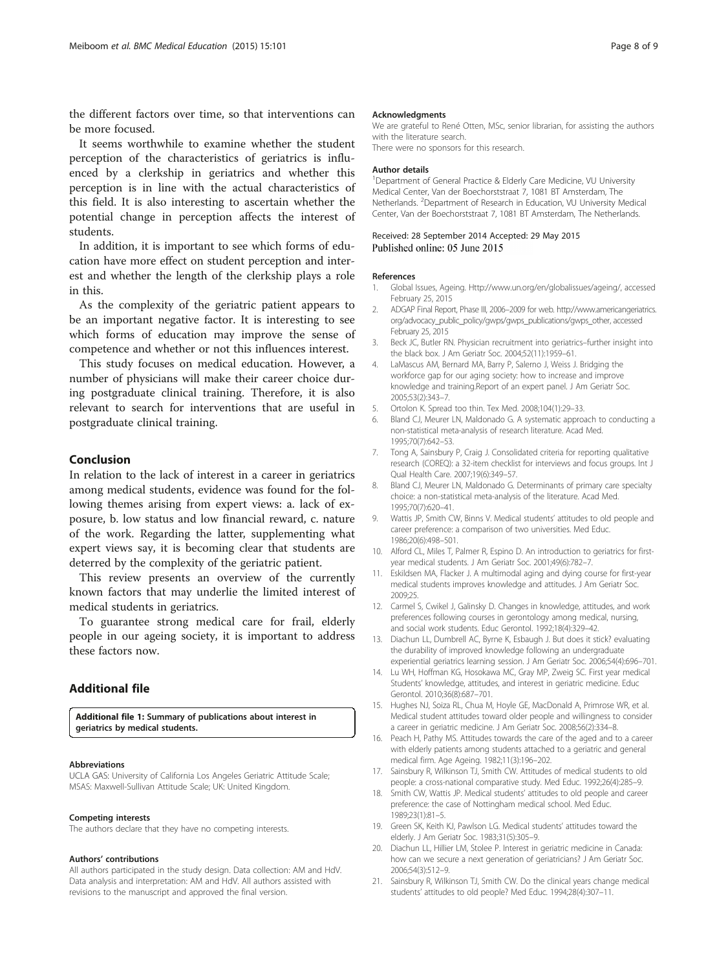<span id="page-7-0"></span>the different factors over time, so that interventions can be more focused.

It seems worthwhile to examine whether the student perception of the characteristics of geriatrics is influenced by a clerkship in geriatrics and whether this perception is in line with the actual characteristics of this field. It is also interesting to ascertain whether the potential change in perception affects the interest of students.

In addition, it is important to see which forms of education have more effect on student perception and interest and whether the length of the clerkship plays a role in this.

As the complexity of the geriatric patient appears to be an important negative factor. It is interesting to see which forms of education may improve the sense of competence and whether or not this influences interest.

This study focuses on medical education. However, a number of physicians will make their career choice during postgraduate clinical training. Therefore, it is also relevant to search for interventions that are useful in postgraduate clinical training.

## Conclusion

In relation to the lack of interest in a career in geriatrics among medical students, evidence was found for the following themes arising from expert views: a. lack of exposure, b. low status and low financial reward, c. nature of the work. Regarding the latter, supplementing what expert views say, it is becoming clear that students are deterred by the complexity of the geriatric patient.

This review presents an overview of the currently known factors that may underlie the limited interest of medical students in geriatrics.

To guarantee strong medical care for frail, elderly people in our ageing society, it is important to address these factors now.

## Additional file

[Additional file 1:](http://www.biomedcentral.com/content/supplementary/s12909-015-0384-4-s1.pdf) Summary of publications about interest in geriatrics by medical students.

#### Abbreviations

UCLA GAS: University of California Los Angeles Geriatric Attitude Scale; MSAS: Maxwell-Sullivan Attitude Scale; UK: United Kingdom.

#### Competing interests

The authors declare that they have no competing interests.

#### Authors' contributions

All authors participated in the study design. Data collection: AM and HdV. Data analysis and interpretation: AM and HdV. All authors assisted with revisions to the manuscript and approved the final version.

#### Acknowledgments

We are grateful to René Otten, MSc, senior librarian, for assisting the authors with the literature search.

There were no sponsors for this research.

#### Author details

<sup>1</sup>Department of General Practice & Elderly Care Medicine, VU University Medical Center, Van der Boechorststraat 7, 1081 BT Amsterdam, The Netherlands. <sup>2</sup>Department of Research in Education, VU University Medical Center, Van der Boechorststraat 7, 1081 BT Amsterdam, The Netherlands.

#### Received: 28 September 2014 Accepted: 29 May 2015 Published online: 05 June 2015

#### References

- 1. Global Issues, Ageing. [Http://www.un.org/en/globalissues/ageing/,](http://www.un.org/en/globalissues/ageing/) accessed February 25, 2015
- 2. ADGAP Final Report, Phase ΙΙΙ, 2006–2009 for web. [http://www.americangeriatrics.](http://www.americangeriatrics.org/advocacy_public_policy/gwps/gwps_publications/gwps_other) [org/advocacy\\_public\\_policy/gwps/gwps\\_publications/gwps\\_other](http://www.americangeriatrics.org/advocacy_public_policy/gwps/gwps_publications/gwps_other), accessed February 25, 2015
- 3. Beck JC, Butler RN. Physician recruitment into geriatrics–further insight into the black box. J Am Geriatr Soc. 2004;52(11):1959–61.
- 4. LaMascus AM, Bernard MA, Barry P, Salerno J, Weiss J. Bridging the workforce gap for our aging society: how to increase and improve knowledge and training.Report of an expert panel. J Am Geriatr Soc. 2005;53(2):343–7.
- 5. Ortolon K. Spread too thin. Tex Med. 2008;104(1):29–33.
- 6. Bland CJ, Meurer LN, Maldonado G. A systematic approach to conducting a non-statistical meta-analysis of research literature. Acad Med. 1995;70(7):642–53.
- 7. Tong A, Sainsbury P, Craig J. Consolidated criteria for reporting qualitative research (COREQ): a 32-item checklist for interviews and focus groups. Int J Qual Health Care. 2007;19(6):349–57.
- 8. Bland CJ, Meurer LN, Maldonado G. Determinants of primary care specialty choice: a non-statistical meta-analysis of the literature. Acad Med. 1995;70(7):620–41.
- 9. Wattis JP, Smith CW, Binns V. Medical students' attitudes to old people and career preference: a comparison of two universities. Med Educ. 1986;20(6):498–501.
- 10. Alford CL, Miles T, Palmer R, Espino D. An introduction to geriatrics for firstyear medical students. J Am Geriatr Soc. 2001;49(6):782–7.
- 11. Eskildsen MA, Flacker J. A multimodal aging and dying course for first-year medical students improves knowledge and attitudes. J Am Geriatr Soc. 2009;25.
- 12. Carmel S, Cwikel J, Galinsky D. Changes in knowledge, attitudes, and work preferences following courses in gerontology among medical, nursing, and social work students. Educ Gerontol. 1992;18(4):329–42.
- 13. Diachun LL, Dumbrell AC, Byrne K, Esbaugh J. But does it stick? evaluating the durability of improved knowledge following an undergraduate experiential geriatrics learning session. J Am Geriatr Soc. 2006;54(4):696–701.
- 14. Lu WH, Hoffman KG, Hosokawa MC, Gray MP, Zweig SC. First year medical Students' knowledge, attitudes, and interest in geriatric medicine. Educ Gerontol. 2010;36(8):687–701.
- 15. Hughes NJ, Soiza RL, Chua M, Hoyle GE, MacDonald A, Primrose WR, et al. Medical student attitudes toward older people and willingness to consider a career in geriatric medicine. J Am Geriatr Soc. 2008;56(2):334–8.
- 16. Peach H, Pathy MS. Attitudes towards the care of the aged and to a career with elderly patients among students attached to a geriatric and general medical firm. Age Ageing. 1982;11(3):196–202.
- 17. Sainsbury R, Wilkinson TJ, Smith CW. Attitudes of medical students to old people: a cross-national comparative study. Med Educ. 1992;26(4):285–9.
- 18. Smith CW, Wattis JP. Medical students' attitudes to old people and career preference: the case of Nottingham medical school. Med Educ. 1989;23(1):81–5.
- 19. Green SK, Keith KJ, Pawlson LG. Medical students' attitudes toward the elderly. J Am Geriatr Soc. 1983;31(5):305–9.
- 20. Diachun LL, Hillier LM, Stolee P. Interest in geriatric medicine in Canada: how can we secure a next generation of geriatricians? J Am Geriatr Soc. 2006;54(3):512–9.
- 21. Sainsbury R, Wilkinson TJ, Smith CW. Do the clinical years change medical students' attitudes to old people? Med Educ. 1994;28(4):307–11.